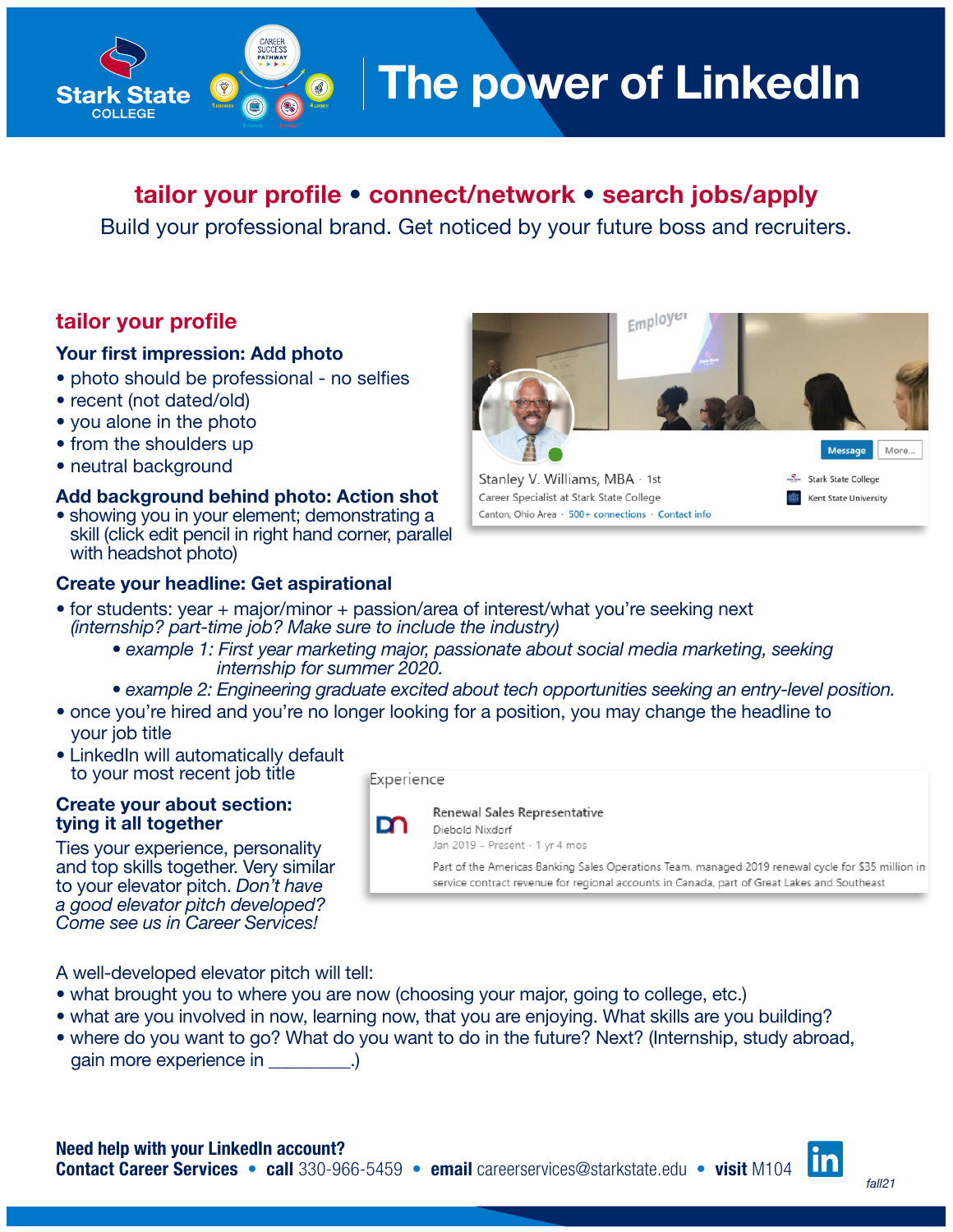# The power of LinkedIn

# tailor your profile • connect/network • search jobs/apply

Build your professional brand. Get noticed by your future boss and recruiters.

# tailor your profile

**Stark State** COLLEGE

## Your first impression: Add photo

- photo should be professional no selfies
- recent (not dated/old)
- you alone in the photo
- from the shoulders up
- neutral background

## Add background behind photo: Action shot

• showing you in your element; demonstrating a skill (click edit pencil in right hand corner, parallel with headshot photo)

## Create your headline: Get aspirational



- for students: year + major/minor + passion/area of interest/what you're seeking next *(internship? part-time job? Make sure to include the industry)*
	- *example 1: First year marketing major, passionate about social media marketing, seeking internship for summer 2020.*
	- *example 2: Engineering graduate excited about tech opportunities seeking an entry-level position.*
- once you're hired and you're no longer looking for a position, you may change the headline to your job title
- LinkedIn will automatically default to your most recent job title

#### Create your about section: tying it all together

Ties your experience, personality and top skills together. Very similar to your elevator pitch. *Don't have a good elevator pitch developed? Come see us in Career Services!*

Experience



Diebold Nixdorf Jan 2019 - Present · 1 yr 4 mos

Part of the Americas Banking Sales Operations Team, managed 2019 renewal cycle for \$35 million in service contract revenue for regional accounts in Canada, part of Great Lakes and Southeast

A well-developed elevator pitch will tell:

- what brought you to where you are now (choosing your major, going to college, etc.)
- what are you involved in now, learning now, that you are enjoying. What skills are you building?
- where do you want to go? What do you want to do in the future? Next? (Internship, study abroad, gain more experience in \_\_\_\_\_\_\_\_

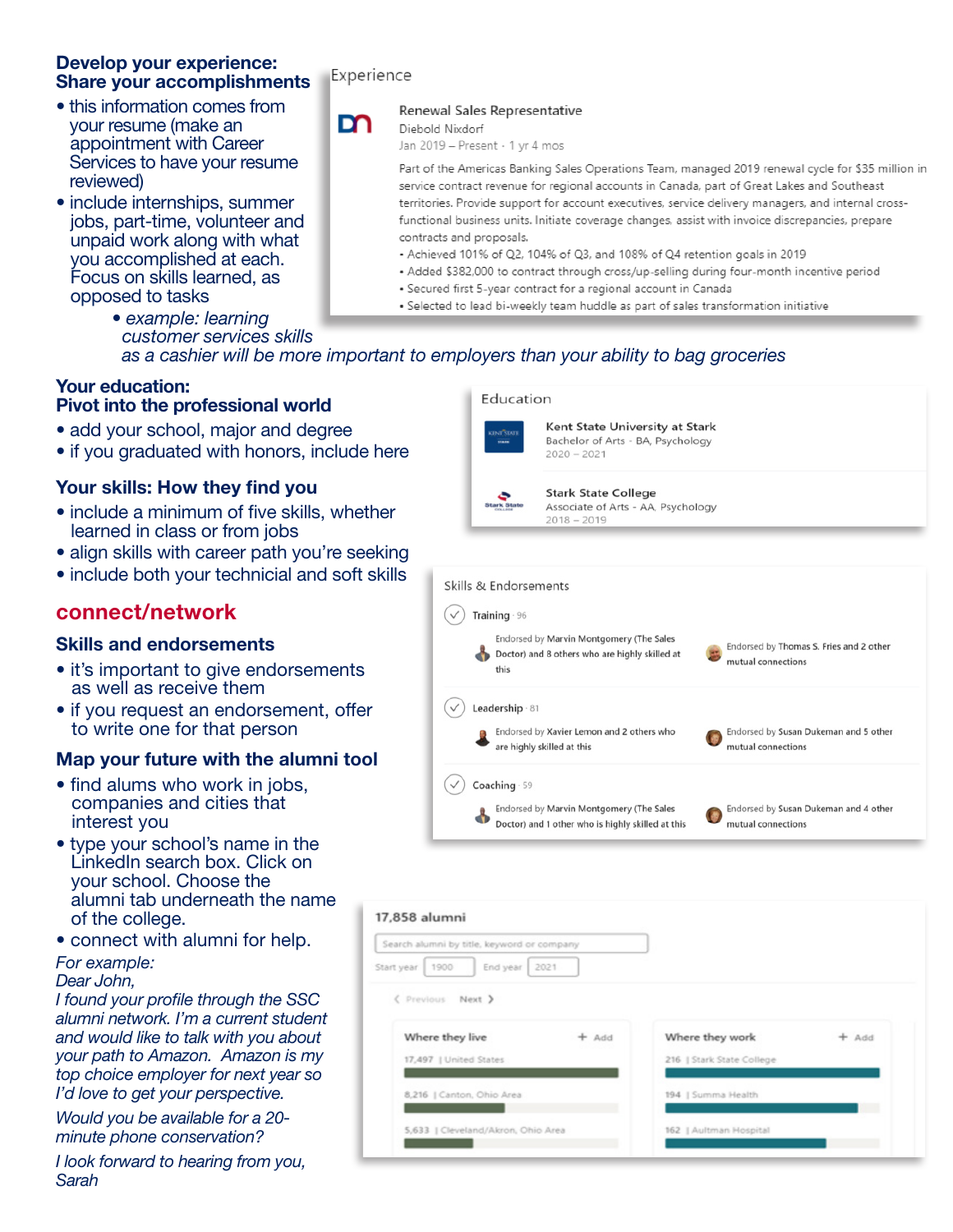## Develop your experience: Share your accomplishments

- this information comes from your resume (make an appointment with Career Services to have your resume reviewed)
- include internships, summer jobs, part-time, volunteer and unpaid work along with what you accomplished at each. Focus on skills learned, as opposed to tasks

## Experience

## Renewal Sales Representative

m Diebold Nixdorf

Jan 2019 - Present · 1 yr 4 mos

Part of the Americas Banking Sales Operations Team, managed 2019 renewal cycle for \$35 million in service contract revenue for regional accounts in Canada, part of Great Lakes and Southeast territories. Provide support for account executives, service delivery managers, and internal crossfunctional business units. Initiate coverage changes, assist with invoice discrepancies, prepare contracts and proposals.

- Achieved 101% of Q2, 104% of Q3, and 108% of Q4 retention goals in 2019
- Added \$382,000 to contract through cross/up-selling during four-month incentive period
- · Secured first 5-year contract for a regional account in Canada
- · Selected to lead bi-weekly team huddle as part of sales transformation initiative
- *example: learning customer services skills as a cashier will be more important to employers than your ability to bag groceries*

Education

## Your education: Pivot into the professional world

- add your school, major and degree
- if you graduated with honors, include here

# Your skills: How they find you

- include a minimum of five skills, whether learned in class or from jobs
- align skills with career path you're seeking
- include both your technicial and soft skills

# connect/network

# Skills and endorsements

- it's important to give endorsements as well as receive them
- if you request an endorsement, offer to write one for that person

# Map your future with the alumni tool

- find alums who work in jobs, companies and cities that interest you
- type your school's name in the LinkedIn search box. Click on your school. Choose the alumni tab underneath the name of the college.
- connect with alumni for help.

## *For example:*

## *Dear John,*

*I found your profile through the SSC alumni network. I'm a current student and would like to talk with you about your path to Amazon. Amazon is my top choice employer for next year so I'd love to get your perspective.*

*Would you be available for a 20 minute phone conservation?*

*I look forward to hearing from you, Sarah*

# Kent State University at Stark Bachelor of Arts - BA, Psychology  $2020 - 2021$ **Stark State College** Associate of Arts - AA, Psychology  $2018 - 2019$



| Search alumni by title, keyword or company |         |                           |         |
|--------------------------------------------|---------|---------------------------|---------|
| 1900<br>2021<br>End year<br>Start year     |         |                           |         |
| < Previous Next >                          |         |                           |         |
| Where they live                            | $+$ Add | Where they work           | $+$ Add |
| 17,497   United States                     |         | 216   Stark State College |         |
|                                            |         | 194   Summa Health        |         |
| 8,216   Canton, Ohio Area                  |         |                           |         |